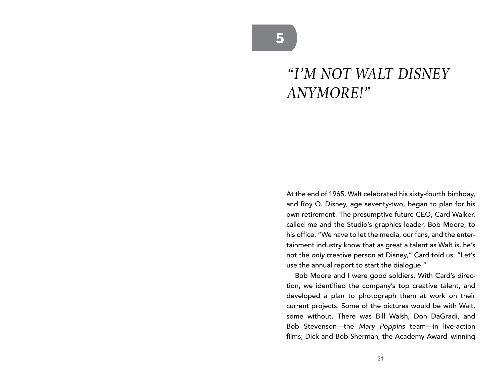## *"I'M NOT WALT DISNEY ANYMORE!"*

At the end of 1965, Walt celebrated his sixty-fourth birthday, and Roy O. Disney, age seventy-two, began to plan for his own retirement. The presumptive future CEO, Card Walker, called me and the Studio's graphics leader, Bob Moore, to his office. "We have to let the media, our fans, and the entertainment industry know that as great a talent as Walt is, he's not the *only* creative person at Disney," Card told us. "Let's use the annual report to start the dialogue."

Bob Moore and I were good soldiers. With Card's direction, we identified the company's top creative talent, and developed a plan to photograph them at work on their current projects. Some of the pictures would be with Walt, some without. There was Bill Walsh, Don DaGradi, and Bob Stevenson—the *Mary Poppins* team—in live-action films; Dick and Bob Sherman, the Academy Award–winning